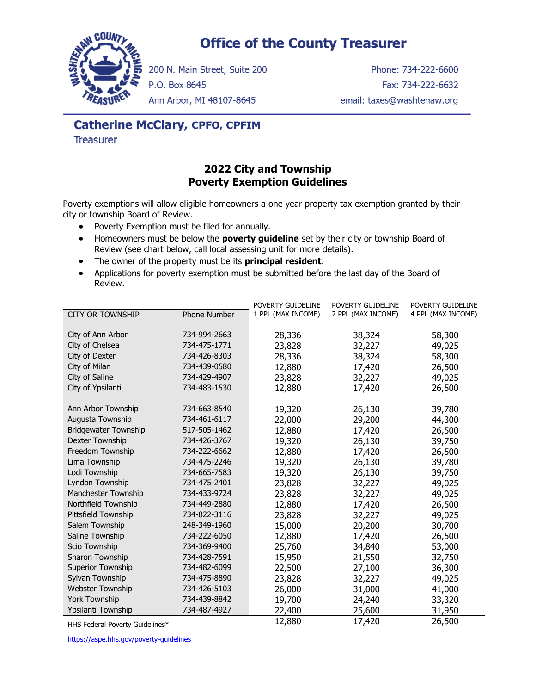## **Office of the County Treasurer**



200 N. Main Street, Suite 200

P.O. Box 8645

Phone: 734-222-6600 Fax: 734-222-6632 email: taxes@washtenaw.org

Ann Arbor, MI 48107-8645

# **Catherine McClary, CPFO, CPFIM**

**Treasurer** 

#### **2022 City and Township Poverty Exemption Guidelines**

Poverty exemptions will allow eligible homeowners a one year property tax exemption granted by their city or township Board of Review.

- Poverty Exemption must be filed for annually.
- Homeowners must be below the **poverty guideline** set by their city or township Board of Review (see chart below, call local assessing unit for more details).
- The owner of the property must be its **principal resident**.
- Applications for poverty exemption must be submitted before the last day of the Board of Review.

|                                         |              | POVERTY GUIDELINE  | POVERTY GUIDELINE  | POVERTY GUIDELINE  |
|-----------------------------------------|--------------|--------------------|--------------------|--------------------|
| <b>CITY OR TOWNSHIP</b>                 | Phone Number | 1 PPL (MAX INCOME) | 2 PPL (MAX INCOME) | 4 PPL (MAX INCOME) |
|                                         |              |                    |                    |                    |
| City of Ann Arbor                       | 734-994-2663 | 28,336             | 38,324             | 58,300             |
| City of Chelsea                         | 734-475-1771 | 23,828             | 32,227             | 49,025             |
| City of Dexter                          | 734-426-8303 | 28,336             | 38,324             | 58,300             |
| City of Milan                           | 734-439-0580 | 12,880             | 17,420             | 26,500             |
| City of Saline                          | 734-429-4907 | 23,828             | 32,227             | 49,025             |
| City of Ypsilanti                       | 734-483-1530 | 12,880             | 17,420             | 26,500             |
|                                         |              |                    |                    |                    |
| Ann Arbor Township                      | 734-663-8540 | 19,320             | 26,130             | 39,780             |
| Augusta Township                        | 734-461-6117 | 22,000             | 29,200             | 44,300             |
| <b>Bridgewater Township</b>             | 517-505-1462 | 12,880             | 17,420             | 26,500             |
| Dexter Township                         | 734-426-3767 | 19,320             | 26,130             | 39,750             |
| Freedom Township                        | 734-222-6662 | 12,880             | 17,420             | 26,500             |
| Lima Township                           | 734-475-2246 | 19,320             | 26,130             | 39,780             |
| Lodi Township                           | 734-665-7583 | 19,320             | 26,130             | 39,750             |
| Lyndon Township                         | 734-475-2401 | 23,828             | 32,227             | 49,025             |
| Manchester Township                     | 734-433-9724 | 23,828             | 32,227             | 49,025             |
| Northfield Township                     | 734-449-2880 | 12,880             | 17,420             | 26,500             |
| Pittsfield Township                     | 734-822-3116 | 23,828             | 32,227             | 49,025             |
| Salem Township                          | 248-349-1960 | 15,000             | 20,200             | 30,700             |
| Saline Township                         | 734-222-6050 | 12,880             | 17,420             | 26,500             |
| Scio Township                           | 734-369-9400 | 25,760             | 34,840             | 53,000             |
| Sharon Township                         | 734-428-7591 | 15,950             | 21,550             | 32,750             |
| Superior Township                       | 734-482-6099 | 22,500             | 27,100             | 36,300             |
| Sylvan Township                         | 734-475-8890 | 23,828             | 32,227             | 49,025             |
| <b>Webster Township</b>                 | 734-426-5103 | 26,000             | 31,000             | 41,000             |
| York Township                           | 734-439-8842 | 19,700             | 24,240             | 33,320             |
| Ypsilanti Township                      | 734-487-4927 | 22,400             | 25,600             | 31,950             |
| HHS Federal Poverty Guidelines*         |              | 12,880             | 17,420             | 26,500             |
|                                         |              |                    |                    |                    |
| https://aspe.hhs.gov/poverty-guidelines |              |                    |                    |                    |